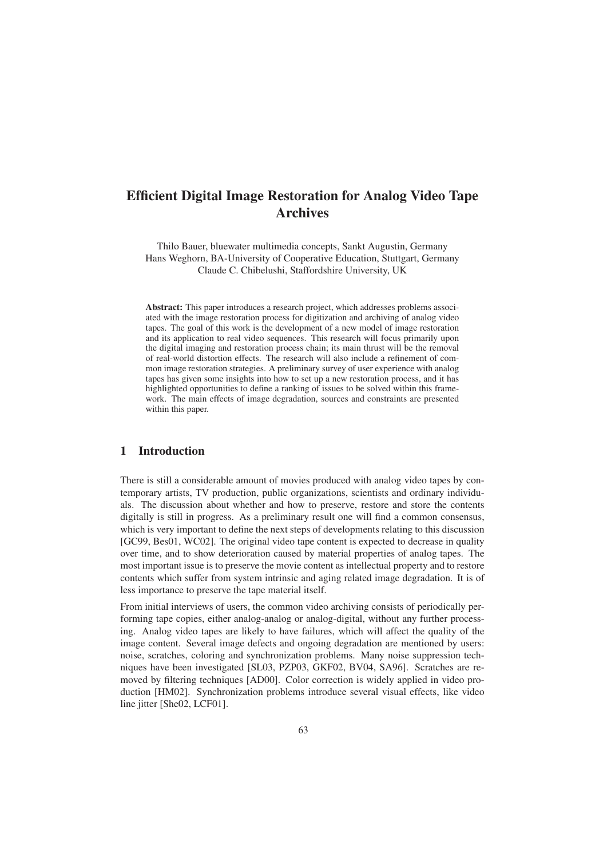# **Digital Image Restoration for Analog Video Tape** Archives<br>Bauer, bluewater multimedia concepts, Sankt Augustin, Germany

nilo Bauer, bluewater multimedia concepts, Sankt Augustin, G<br>Weghorn, BA-University of Cooperative Education, Stuttgart, ermany<br>Germany Exater multimedia concepts, Sankt Augustin,<br>Chiversity of Cooperative Education, Stuttg<br>C. Chibelushi, Staffordshire University, UK

This paper introduces a research project, which addresses problems associ-tract: This paper introduces a research project, which addresses problems associ-<br>with the image restoration process for digitization and archiving of analog video **The goal of this paper introduces a research project, which addresses problems associ-**<br>with the image restoration process for digitization and archiving of analog video<br>The goal of this work is the development of a new m Abs **Exercit:** This paper introduces a research project, which addresses problems associ-<br>I with the image restoration process for digitization and archiving of analog video<br>ss. The goal of this work is the development of a ne ated with the image restoration process for digitization and archiving of analog video d with the image restoration process for digitization and archiving of analog video<br>es. The goal of this work is the development of a new model of image restoration<br>it its application to real video sequences. This research ta pes. The goal of this work is the development of a new model of image restoration<br>ad its application to real video sequences. This research will focus primarily upon<br>e digital imaging and restoration process chain; its mai and its application to real video sequences. This research will focus primarily upon its application to real video sequences. This research will focus primarily upon<br>ligital imaging and restoration process chain; its main thrust will be the removal<br>cal-world distortion effects. The research will also inclu the digital imaging and restoration process chain; its main thrust will be the removal<br>of real-world distortion effects. The research will also include a refinement of com-<br>mon image restoration strategies. A preliminary s m<br>ic<br>it tapes has given some insights into how to set up a new restoration process, and it has of real-world distortion effects. The research will also include a refinement of com-Id distortion effects. The research will also include a refinement of com-<br>restoration strategies. A preliminary survey of user experience with analog<br>iven some insights into how to set up a new restoration process, and it mon image restoration strategies. A preliminary survey of user experience with analog<br>tapes has given some insights into how to set up a new restoration process, and it has<br>highlighted opportunities to define a ranking of has given so<br>ghted oppor<br>The main<br>this paper. within this paper.

#### t muoduttion  $\mathbf 1$

**ntroduction**<br>is still a considerable amount of movies produced with analog video tapes by con-There is still a considerable amount of movies produced with analog video tapes by contemporary artists. TV production, public organizations, scientists and ordinary individu-The discussion about the movies produced with analog video tapes by con-<br>porary artists, TV production, public organizations, scientists and ordinary individu-<br>The discussion about whether and how to preserve, restore and still a considerable amount of movies produced with analog video tapes by con-<br>ry artists, TV production, public organizations, scientists and ordinary individu-<br>e discussion about whether and how to preserve, restore and digitally is still in progress. As a preliminary result one will find a common consensus, tempo Frary artists, TV production, public organizations, scientists and ordinary individu-<br>The discussion about whether and how to preserve, restore and store the contents<br>Ily is still in progress. As a preliminary result one w als. Th be discussion about whether and how to preserve, restore and store the contents<br>y is still in progress. As a preliminary result one will find a common consensus,<br>s very important to define the next steps of developments re and to show deterioration caused by material properties of analog tapes. The original video tape content is expected to decrease in quality and to show deterioration caused by material properties of analog tapes. The whic It is very important to define the next steps of developments relating to this discussion<br>99, Bes01, WC02]. The original video tape content is expected to decrease in quality<br>time, and to show deterioration caused by mater  $[GC99,$ Bes01, WC02]. The original video tape content is expected to decrease in quality e, and to show deterioration caused by material properties of analog tapes. The portant issue is to preserve the movie content as intellectua ove: r time, and to show deterioration caused by m<br>it important issue is to preserve the movie conte<br>tents which suffer from system intrinsic and as<br>importance to preserve the tape material itself. most<br>conto interviews of users of users, the common video archiving consists of periodically per-<br>initial interviews of users, the common video archiving consists of periodically percoments<br>loss imp ing.

there is the copies of users, the common video archiving consists of periodically per-<br>tape copies, either analog-analog or analog-digital, without any further processm initial interviews of users, the common video archiving consists of periodically per-<br>hing tape copies, either analog-analog or analog-digital, without any further process-<br>Analog video tapes are likely to have failures, From initial interviews of users, the common video archiving consists of periodically per-<br>ng tape copies, either analog-analog or analog-digital, without any further process-<br>Analog video tapes are likely to have failures, whi tormii ng tape copies, either analog-analog or analog-digital, without any further process-<br>Analog video tapes are likely to have failures, which will affect the quality of the<br>content. Several image defects and ongoing degradati ing.  $A$ have been investigated is the been investigated is the content. Several image defects and ongoing degradation are mentioned by users: scratches, coloring and synchronization problems. Many noise suppression technave been i image content. Several image defects and ongoing degradation are mentioned by users: veral image defects and ongoing degradation are mentioned by users:<br>oloring and synchronization problems. Many noise suppression tech-<br>investigated [SL03, PZP03, GKF02, BV04, SA96]. Scratches are re-<br>techniques [AD00]. Col noise, scratches, coloring and synchronization problems. Many noise suppression techecratches, coloring and synchronization problems. Many noise suppression tech-<br>have been investigated [SL03, PZP03, GKF02, BV04, SA96]. Scratches are re-<br>by filtering techniques [AD00]. Color correction is widely applied i nıqı moved by filtering techniques [AD00]. Color correction is widely applied in video production [HM02]. Synchronization problems introduce several visual effects, like video line jitter [She02, LCF01].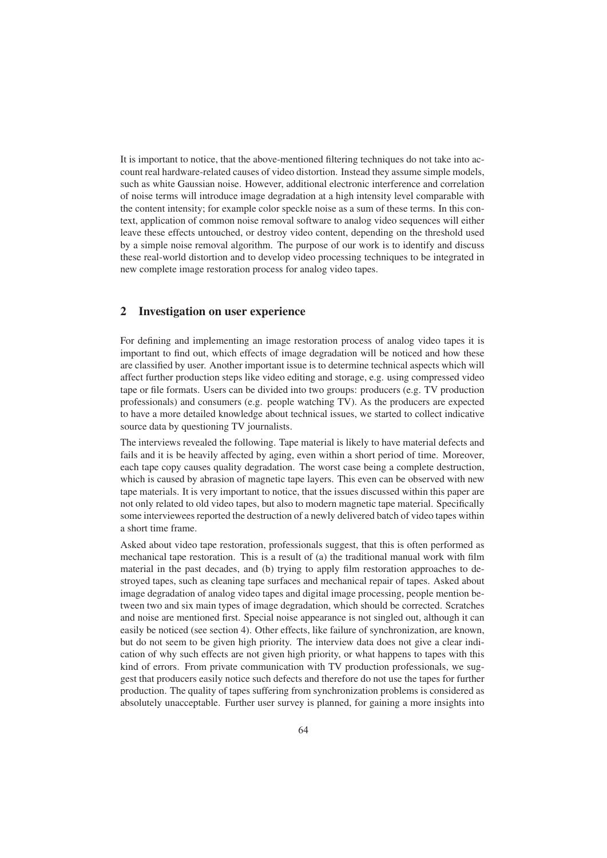It is important to notice, that the above-mentioned filtering techniques do not take into acmportant to notice, that the above-mentioned filtering techniques do not take into ac-<br>real hardware-related causes of video distortion. Instead they assume simple models. It is important to notice, that the above-mentioned filtering techniques do not take into account real hardware-related causes of video distortion. Instead they assume simple models, such as white Gaussian noise. However, is important to notice, that the above-mentioned filtering techniques do not take into ac-<br>unt real hardware-related causes of video distortion. Instead they assume simple models,<br>ch as white Gaussian noise. However, addit intertual hardware-related causes of video distortion. Instead they assume simple models,<br>th as white Gaussian noise. However, additional electronic interference and correlation<br>noise terms will introduce image degradation such as white Gaussian noise. However, additional electronic interference and correlation<br>oise terms will introduce image degradation at a high intensity level comparable with<br>content intensity; for example color speckle noise of no of noise terms will introduce image degradation at a high intensity level comparable with<br>the content intensity; for example color speckle noise as a sum of these terms. In this con-<br>text, application of common noise remov the content intensity; for example color speckle noise as a sum of these terms. In this cone content intensity; for example color speckle noise as a sum of these terms. In this contract, application of common noise removal software to analog video sequences will either we these effects untouched, or destroy vide application of common noise removal software to analog video sequences will either<br>these effects untouched, or destroy video content, depending on the threshold used<br>simple noise removal algorithm. The purpose of our work leave these ef by a simple noise removal algorithm. The purpose of our work is to identify and discuss these real-world distortion and to develop video processing techniques to be integrated in new complete image restoration process for analog video tapes.

## new complete image restoration process for a<br> **2** Investigation on user experience  $\blacksquare$

**igation on user experience**<br>and implementing an image restoration process of analog video tapes it is to find out.<br>The find out, which effects of image restoration process of analog video tapes it is<br>to find out, which effects of image degradation will be noticed and how these For defining and implementing an image restoration process of analog video tapes it is<br>important to find out, which effects of image degradation will be noticed and how these<br>are classified by user. Another important issue are classified by user. Another important issue is to determine technical aspects which will For d efining and implementing an image restoration process of analog video tapes it is<br>tant to find out, which effects of image degradation will be noticed and how these<br>assified by user. Another important issue is to determine ımp important to find out, which effects of image degradation will be noticed and how these<br>are classified by user. Another important issue is to determine technical aspects which will<br>affect further production steps like vide by user. Another important issue is to determine technical aspects which will<br>production steps like video editing and storage, e.g. using compressed video<br>mats. Users can be divided into two groups: producers (e.g. TV prod have a more detailed knowledge about technical issues, we started to collect indicative a more detailed knowledge about technical issues, we started to collect indicative The interviews revealed the following. The interviews revealed the following. The interviews revealed the following. The interviews revealed the following. The interviews revealed the following. The interviews revealed the tape oi file formats. Users can be divided is<br>sionals) and consumers (e.g. people<br>e a more detailed knowledge about t<br>data by questioning TV journalists.  $\sum_{i=1}^{n}$ 

fails and it is be heavily affected by and it is beheavily affected by aging. ند<br>ata<br>it examed is sales, we started to concern interactive<br>e material is likely to have material defects and<br>even within a short period of time. Moreover, fails and it is be heavily affected by aging, even within a short period of time. Moreover, interviews revealed the following. Tape material is likely to have material defects and<br>and it is be heavily affected by aging, even within a short period of time. Moreover,<br>tape copy causes quality degradation. The worst The in is the second the following. Tape material is likely to have material defects and<br>in it is be heavily affected by aging, even within a short period of time. Moreover,<br>ape copy causes quality degradation. The worst case bei and it is be heavily affected by aging, even within a short period of time. Moreover, it ape copy causes quality degradation. The worst case being a complete destruction, this caused by abrasion of magnetic tape layers. Th eac In tape copy causes quality degradation. The worst case being a complete destruction, ich is caused by abrasion of magnetic tape layers. This even can be observed with new e materials. It is very important to notice, that whicl It is caused by abrasion of magnetic tape layers. This even can be observed with new<br>materials. It is very important to notice, that the issues discussed within this paper are<br>nly related to old video tapes, but also to mo Asked about video tape restoration. Professionals suggest, that this is often performed as<br>Asked about video tape restoration, professionals suggest, that this is often performed as tape materials. It is very important to notice, that the issues discussed within this paper are aterials. It is<br>y related to<br>interviewees<br>time frame. a short time frame. u short t

that the frame.<br>
a short time frame.<br>
Asked about video tape restoration, professionals suggest, that this is often performed as<br>
mechanical tape restoration. This is a result of (a) the traditional manual work with film in the past decades and (b) trying to apply film restoration approximate decades that the past decades, and (b) trying to apply film restoration approaches to deabout video tape restoration, professionals suggest, that this is often performed as<br>ical tape restoration. This is a result of (a) the traditional manual work with film<br>I in the past decades, and (b) trying to apply film mecha incal tape restoration. This is a result of (a) the traditional manual work with film<br>ial in the past decades, and (b) trying to apply film restoration approaches to de-<br>d tapes, such as cleaning tape surfaces and mechanic material in the past decades, and (b) trying to apply film restoration approaches to detal in the past decades, and (b) trying to apply film restoration approaches to de-<br>d tapes, such as cleaning tape surfaces and mechanical repair of tapes. Asked about<br>degradation of analog video tapes and digital image pr stro yed tapes, such as cleaning tape surfaces and mechanical repair of tapes. Asked about<br>ge degradation of analog video tapes and digital image processing, people mention be-<br>en two and six main types of image degradation, wh ımage image degradation of analog video tapes and digital image processing, people mention be-<br>tween two and six main types of image degradation, which should be corrected. Scratches<br>and noise are mentioned first. Special noise tween two and six main types of image degradation, which should be corrected. Scratches and six main types of image degradation, which should be corrected. Scratches<br>are mentioned first. Special noise appearance is not singled out, although it can<br>oticed (see section 4). Other effects, like failure of synchro bise are mentioned first. Special noise appearance is not singled out, although it can<br>be noticed (see section 4). Other effects, like failure of synchronization, are known,<br>o not seem to be given high priority. The interv easil easily be noticed (see section 4). Other effects, like failure of synchronization, are known, but do not seem to be given high priority. The interview data does not give a clear indication of why such effects are not given but do not seem to be given high priority. The interview data does not give a clear indido not seem to be given high priority. The interview data does not give a clear indi-<br>on of why such effects are not given high priority, or what happens to tapes with this<br>l of errors. From private communication with TV p hy such effects are not given high priority, or what happens to tapes with this<br>prs. From private communication with TV production professionals, we sug-<br>pducers easily notice such defects and therefore do not use the tape kind of er rors. From private communication with TV production professionals, we sug-<br>roducers easily notice such defects and therefore do not use the tapes for further<br>i. The quality of tapes suffering from synchronization problems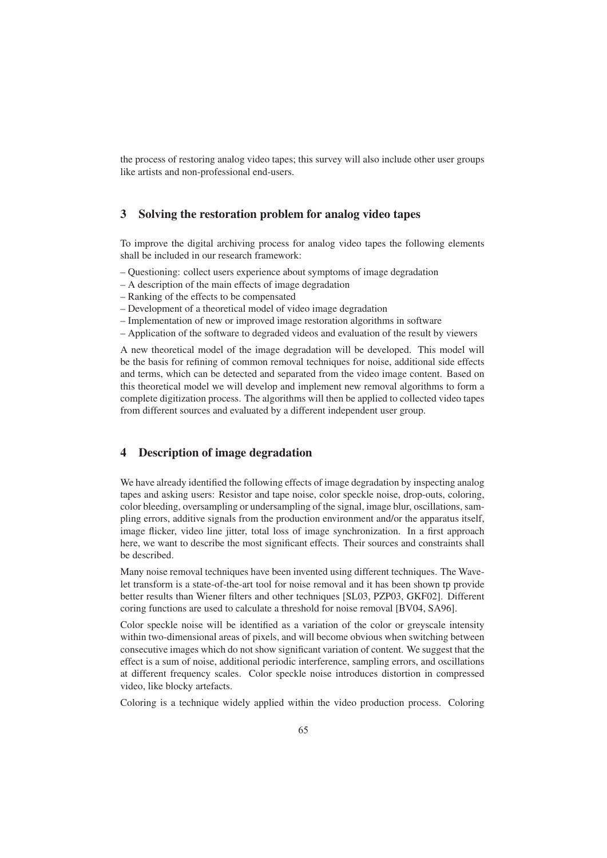process of restoring analog video tapes; this survey will also include other user groups the process of restoring analog video tapes<br>like artists and non-professional end-users.

#### **the restoration problem for analog video tapes**  $\overline{\mathbf{3}}$ **Solving the restoration problem for analog video tapes** improve the digital archiving process for analog video tapes the following elements  $\mathbf{S}$

be included in our research framework:<br>the included in our research framework: To improve the digital archiving process for analog video tapes the followir shall be included in our research framework:<br>– Ouestioning: collect users experience about symptoms of image degradation to improve the of the main effects of image views of the main effects of image degradation  $\frac{1}{2}$ 

- of the effects to be compensated<br>of the effects to be compensated – Questioning:
- $A$  description of the main effects of image degradation
- t th<br>eff<br><sup>2</sup> a<br>of – Ranking of
- Development of a theoretical model of video image degradation
- A description of the main effects of image degradation<br>
 Ranking of the effects to be compensated<br>
 Development of a theoretical model of video image degradation<br>
 Implementation of new or improved image restoration a the effects to be compensated<br>the software to degradation<br>tion of new or improved image restoration algorithms in software<br>of the software to degraded videos and evaluation of the result by viewers
- theoretical model of the image degradation<br>tementation of new or improved image restoration algorithms in software<br>ication of the software to degraded videos and evaluation of the result by viewers<br>theoretical model of the beand

Application of the software to degraded videos and evaluation of the result by viewers<br>new theoretical model of the image degradation will be developed. This model will<br>the basis for refining of common removal techniques f the basis for refining of common removal techniques for noise, additional side effects terms, which can be detected and separated from the video image content. Based on and terms, which can be detected and separated from the video image content. Based on A r theoretical model of the image degradation will be developed. This model will<br>the basis for refining of common removal techniques for noise, additional side effects<br>terms, which can be detected and separated from the video be the ba this theoretical model we will develop and implement new removal algorithms to form a complete digitization process. The algorithms will then be applied to collected video tapes from different sources and evaluated by a different independent user group.

### **of image degradation**  $\overline{\mathbf{4}}$ **Description of image degradation**<br>have already identified the following effects tapes

 of image degradation by inspecting analog and asking users: Resistor and tape noise, color speckle noise, drop-outs, coloring, and asking users: Resistor and tape noise, color speckle noise, drop-outs, coloring, ave already identified the following effects of image degradation by inspecting analog<br>and asking users: Resistor and tape noise, color speckle noise, drop-outs, coloring,<br>bleeding, oversampling or undersampling of the sig We h ave already identified the following effects of image degradation by inspecting analog<br>and asking users: Resistor and tape noise, color speckle noise, drop-outs, coloring,<br>bleeding, oversampling or undersampling of the sig tapes and asking users: Resistor and tape noise, color speckle noise, drop-outs, coloring, and asking users: Resistor and tape noise, color speckle noise, drop-outs, coloring,<br>pleeding, oversampling or undersampling of the signal, image blur, oscillations, sam-<br>errors, additive signals from the production enviro coloi bleeding, oversampling or undersampling of the signal, image blur, oscillations, sample errors, additive signals from the production environment and/or the apparatus itself, e flicker, video line jitter, total loss of imag pling errors, additive signals from the production environment and/or the apparatus itself, ing errors,<br>iage flicker<br>re, we wan<br>described. Many noise removal techniques have been invented using different techniques. The Wave-<br>Many noise removal techniques have been invented using different techniques. The Wave- $\frac{110}{2}$  $\frac{1}{2}$ 

the described.<br>The described.<br>Many noise removal techniques have been invented using different techniques. The Wave-<br>let transform is a state-of-the-art tool for noise removal and it has been shown tp provide results than Wiener filters and other techniques is a state-of-the-art tool for noise removal and it has been shown tp provide<br>results than Wiener filters and other techniques [SL03, PZP03, GKF02]. Different functions are used to calculate a threshold for noise removal and it has been shown tp p results than Wiener filters and other techniques [SL03, PZP03, GKF02]. Difunctions are used to calculate a threshold for noise remova Exercialistical is a state of the art tool for holder techniques [SL03, PZP03, GKF02]. Different coring functions are used to calculate a threshold for noise removal [BV04, SA96].<br>Color speckle noise will be identified as conne rune

Figure 1 Figure 1 Figure 1 Figure 1 Figure 1 Figure 1 Figure 1 Figure 1 Figure 1 Figure 1 Figure 1 Figure 1 Figure 1 Figure 1 Figure 1 Figure 1 Figure 1 Figure 1 Figure 1 Figure 1 Figure 1 Figure 1 Figure 1 Figure 1 Figur Binerem<br>6].<br>between within two-dimensional areas of pixels, and will become obvious when switching between Example in a show significant of notice tentour provisions.<br>In the color of greyscale intensity<br>dimensional areas of pixels, and will become obvious when switching between<br>images which do not show significant variation of Color is a sum of noise will be identified as a variation of the color or greyscale intensity<br>is a two-dimensional areas of pixels, and will become obvious when switching between<br>cutive images which do not show significant varia ithin two-dimensional areas of pixels, and will become obvious when switching between<br>onsecutive images which do not show significant variation of content. We suggest that the<br>fect is a sum of noise, additional periodic in conseq cutive images which d<br>is a sum of noise, add<br>ferent frequency scale<br>like blocky artefacts. video, like blocky artefacts. Effect is a sum of noise, additional periodic interference, sampling errors, and oscillations<br>at different frequency scales. Color speckle noise introduces distortion in compressed<br>video, like blocky artefacts.<br>Coloring is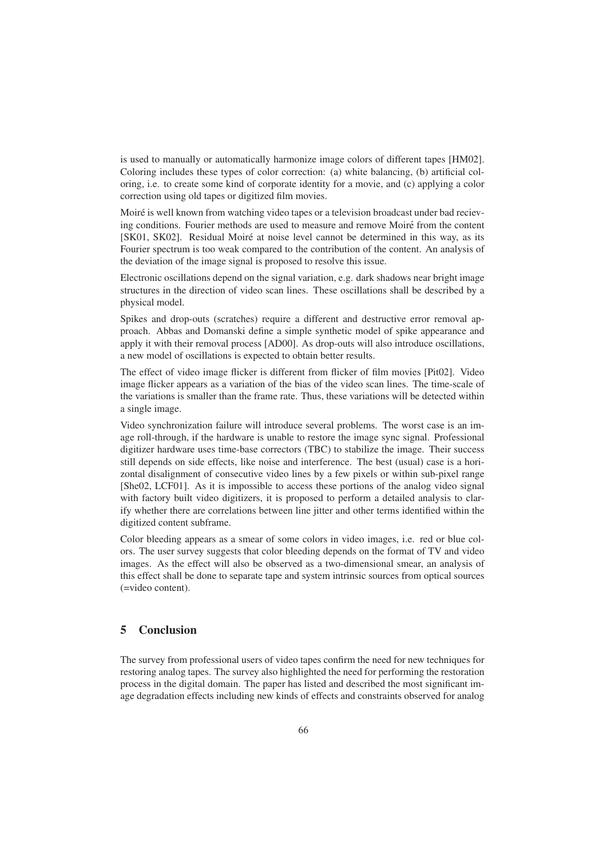is used to manually or automatically harmonize image colors of different tapes [HM02]. o manually or automatically harmonize image colors of different tapes [HM02].<br>includes these types of color correction: (a) white balancing, (b) artificial cold to manually or automatically harmonize image colors of different tapes [HM02].<br>ing includes these types of color correction: (a) white balancing, (b) artificial col-<br>i.e. to create some kind of corporate identity for a m manually or automatically harmonize in<br>includes these types of color correction:<br>to create some kind of corporate identity<br>using old tapes or digitized film movies. Coloring includes these types of color contection. (a) while bataloning, (b) affined correction oring, i.e. to create some kind of corporate identity for a movie, and (c) applying a color correction using old tapes or digi  $\frac{0111}{001}$  $\frac{1}{\sqrt{2}}$ 

conditions. Fourier methods are used to measure and remove Moiré from the content<br>conditions. Fourier methods are used to measure and remove Moiré from the content SKO2]. Residual Moiré at noise level cannot be determined in this way, as its<br>SK02]. Residual Moiré at noise level cannot be determined in this way, as its Moiré i s well known from watching video tapes or a television broadcast under bad reciev-<br>ditions. Fourier methods are used to measure and remove Moiré from the content.<br>SK02]. Residual Moiré at noise level cannot be determined i ing conditions. Fourier methods are used to measure and remove<br>S01, SK02]. Residual Moiré at noise level cannot be determ<br>arier spectrum is too weak compared to the contribution of the<br>deviation of the image signal is proposed Electronic oscillations depend on the signal variation. e.g. dark shadows near bright image<br>Electronic oscillations depend on the signal variation, e.g. dark shadows near bright image  $\frac{1}{2}$ 

structures in the direction of video scan lines. These oscillations of the directionic oscillations depend on the signal variation, e.g. dark sh structures in the direction of video scan lines. These oscillations shall be described by<br>shall be described by on<br>ge<br>a Spikes and drop-outs (scratches) require a different and destructive error removal applies and drop-outs (scratches) require a different and destructive error removal apic oscilies in the<br>model. processing phyon

Abbas and Domanski define a simple synthetic model of spike appearance and<br>Abbas and Domanski define a simple synthetic model of spike appearance and proach. Abbas and Domanski define a simple synthetic model of spike appearance and it with their removal specifies a simple synthetic model of spike appearance and<br>it with their removal process [AD00]. As drop-outs will also introduce oscillations, Spike s and drop-outs (scratches) require a different and des<br>h. Abbas and Domanski define a simple synthetic mode<br>it with their removal process [AD00]. As drop-outs will<br>model of oscillations is expected to obtain better result procent. The effect of video image flicker is different from flicker of film movies [Pit02]. Video image flicker is different from flicker of film movies [Pit02]. Video  $_{0.993}^{\text{uppy}}$ the set of the set of the set of the set of the set of the set of the set of the set of the set of the set of the set of the set of the set of the set of the set of the set of the set of the set of the set of the set of th

Figure and the bias of the bias of the bias of the video scan lines.<br>The effect of video image flicker is different from flicker of film movies [Pit02]. Video image flicker appears as a variation of the bias of the video EVA INCRESS IS SUPPECTED TO SUMMISSION IS SUPPECTED TO SUMMISSION. The frame rate of film movies [Pit02]. Video age flicker appears as a variation of the bias of the video scan lines. The time-scale of variations is smalle ect of v<br>licker a<br>ations i:<br>image. Video synchronization failure will introduce several problems. The worst case is an im-<br>Video synchronization failure will introduce several problems. The worst case is an im $rac{1}{2}$ digitizeren

ralled image.<br>In the hardware is unable to restore the image sync signal. Professional<br>roll-through, if the hardware is unable to restore the image sync signal. Professional mage.<br>
hardware is unable to restore the image sync signal. Professional<br>
hardware uses time-base correctors (TBC) to stabilize the image. Their success Vid Video synchronization failure will introduce several problems. The worst case is an image roll-through, if the hardware is unable to restore the image sync signal. Professional digitizer hardware uses time-base correctors age roll-through, if the hardware is unable to restore the image sync signal. Professional age roll-through, if the hardware is unable to restore the image sync signal. Professional<br>digitizer hardware uses time-base correctors (TBC) to stabilize the image. Their success<br>still depends on side effects, like noise r hardware uses time-base correctors (TBC) to stabilize the image. Their success<br>bends on side effects, like noise and interference. The best (usual) case is a hori-<br>lisalignment of consecutive video lines by a few pixels [She02, LCF01]. As it is impossible to access these portions of the analog video signal depends on side effects, like noise and interference. The best (usual) case is a hori-<br>al disalignment of consecutive video lines by a few pixels or within sub-pixel range<br>02, LCF01]. As it is impossible to access these po zoi with factory built video digitizers, it is proposed to perform a detailed analysis to clar-LCF01]. As it is i<br>tory built video di<br>her there are correl<br>content subframe. Color bleeding appears as a smear of some colors in video images, i.e. red or blue col-<br>Color bleeding appears as a smear of some colors in video images, i.e. red or blue col- $\frac{11}{42}$ images.

The user survey suggests that color bleeding depends on the format of TV and video<br>The user survey suggests that color bleeding depends on the format of TV and video Even a seriance.<br>
As the effect will also be observed as a two-dimensional smear, an analysis of<br>
As the effect will also be observed as a two-dimensional smear, an analysis of Col or bleeding appears as a smear of some colors in video images, i.e. red or blue col-<br>The user survey suggests that color bleeding depends on the format of TV and video<br>ges. As the effect will also be observed as a two-dime ors. The Exercise is user surface that<br>content).  $($ =video content).

### $\overline{\mathbf{5}}$ **Concluside**<br>survey from  $\epsilon$  con

 professional users of video tapes confirm the need for new techniques for exercises<br>bey from professional users of video tapes confirm the need for new techniques for<br>analog tapes. The survey also highlighted the need for performing the restoration vey from professional users of video tapes confirm the need for new techniques for g analog tapes. The survey also highlighted the need for performing the restoration in the digital domain. The paper has listed and describ The restoring analog tapes. The survey also highlighted the need for performing the restoration process in the digital domain. The paper has listed and described the most significant image degradation effects including new kin